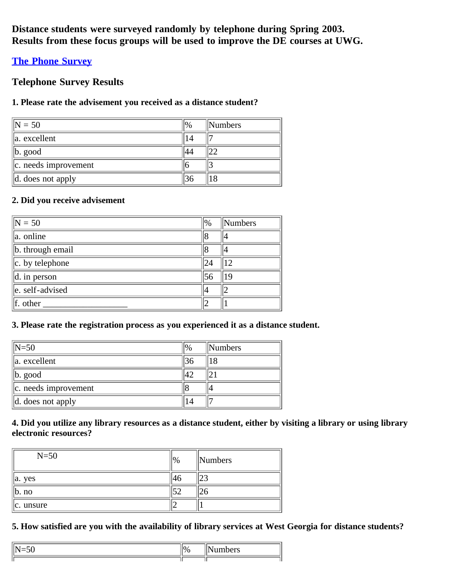**Distance students were surveyed randomly by telephone during Spring 2003. Results from these focus groups will be used to improve the DE courses at UWG.**

# **[The Phone Survey](file:///C|/Users/wstevers/Documents/Website%20Redesign/Old%20Information/Effectiveness%20Files/Phone%20Survey/interview.html)**

# **Telephone Survey Results**

## **1. Please rate the advisement you received as a distance student?**

| $\text{IN} = 50$              | $\%$ | <b>Numbers</b> |
|-------------------------------|------|----------------|
| $\ $ a. excellent             |      |                |
| $\ $ b. good                  |      |                |
| $\ c\ $ . needs improvement   |      |                |
| $\parallel$ d. does not apply |      |                |

# **2. Did you receive advisement**

| $\sqrt{N} = 50$          | $\frac{1}{2}$ | Numbers |
|--------------------------|---------------|---------|
| $\ $ a. online           |               |         |
| b. through email         |               |         |
| $\ c.$ by telephone      | 24            | 12      |
| $\parallel$ d. in person | 56            | 19      |
| $\ $ e. self-advised     | 14            |         |
| $\parallel$ f. other     |               |         |

### **3. Please rate the registration process as you experienced it as a distance student.**

| $\parallel$ N=50              | $\%$ | Numbers |
|-------------------------------|------|---------|
| la. excellent                 |      | 18      |
| $\ b. \text{ good}\ $         |      |         |
| $\ c\ $ . needs improvement   |      |         |
| $\parallel$ d. does not apply |      |         |

### **4. Did you utilize any library resources as a distance student, either by visiting a library or using library electronic resources?**

| $N=50$                      | $\frac{10}{6}$ | <b>Numbers</b> |
|-----------------------------|----------------|----------------|
| $\parallel$ a. yes          | 46             | ے ک            |
| $\mathsf{I} \mathsf{b}.$ no | cη             |                |
| $\ c.$ unsure               | -              |                |

### **5. How satisfied are you with the availability of library services at West Georgia for distance students?**

| υ, |  |
|----|--|
|    |  |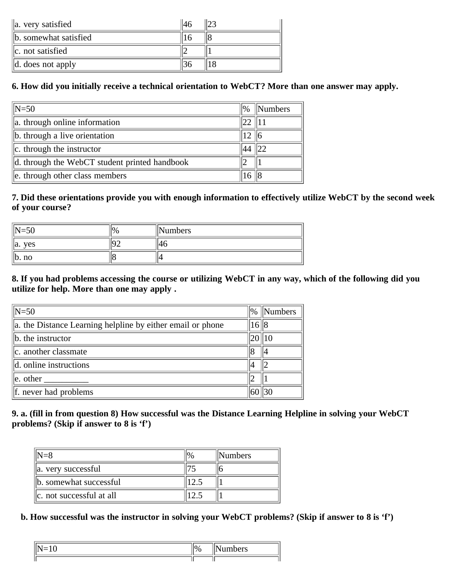| $\ $ a. very satisfied        |  |
|-------------------------------|--|
| b. somewhat satisfied         |  |
| $\ c.$ not satisfied          |  |
| $\parallel$ d. does not apply |  |

# **6. How did you initially receive a technical orientation to WebCT? More than one answer may apply.**

| $N=50$                                        | $\frac{10}{6}$   | <b>Numbers</b> |
|-----------------------------------------------|------------------|----------------|
| a. through online information                 | $ 22 $ 111       |                |
| b. through a live orientation                 | 12 <sub>12</sub> | 116            |
| $ c.$ through the instructor                  | 44               | 122            |
| d. through the WebCT student printed handbook |                  |                |
| e. through other class members                | 16               |                |

## **7. Did these orientations provide you with enough information to effectively utilize WebCT by the second week of your course?**

| $\epsilon$<br>IN<br>- ج<br>. J U | 10/ | Numbers |
|----------------------------------|-----|---------|
| yes<br>$\parallel$ a.            |     |         |
| no<br>، ب                        |     |         |

### **8. If you had problems accessing the course or utilizing WebCT in any way, which of the following did you utilize for help. More than one may apply .**

| $\parallel$ N=50                                                | $\frac{1}{2}$ | Numbers |
|-----------------------------------------------------------------|---------------|---------|
| $\ $ a. the Distance Learning helpline by either email or phone | 16  8         |         |
| $\ $ b. the instructor                                          |               | 110     |
| $\ c\ $ . another classmate                                     |               |         |
| $\parallel$ d. online instructions                              |               |         |
| $\parallel$ e. other                                            |               |         |
| If. never had problems                                          |               |         |

### **9. a. (fill in from question 8) How successful was the Distance Learning Helpline in solving your WebCT problems? (Skip if answer to 8 is 'f')**

| $\parallel$ N=8               | <b>Numbers</b> |
|-------------------------------|----------------|
| $\ $ a. very successful       |                |
| $\ $ b. somewhat successful   |                |
| $\ c\ $ not successful at all |                |

### **b. How successful was the instructor in solving your WebCT problems? (Skip if answer to 8 is 'f')**

| ∼ | л. |  |
|---|----|--|
|   |    |  |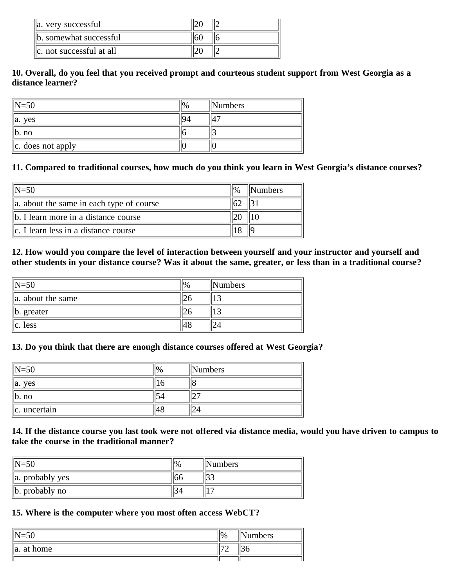| a. very successful            |  |
|-------------------------------|--|
| b. somewhat successful        |  |
| $\ c\ $ not successful at all |  |

#### **10. Overall, do you feel that you received prompt and courteous student support from West Georgia as a distance learner?**

| $\parallel$ N=50               | $\frac{10}{6}$ | <b>Numbers</b>  |
|--------------------------------|----------------|-----------------|
| $\parallel$ a. yes             |                | $\Lambda$<br>14 |
| $\ $ b. no                     |                |                 |
| $\ c. \ \cos \theta$ not apply |                |                 |

# **11. Compared to traditional courses, how much do you think you learn in West Georgia's distance courses?**

| $\parallel$ N=50                            | <b>Numbers</b> |
|---------------------------------------------|----------------|
| a. about the same in each type of course    |                |
| b. I learn more in a distance course        |                |
| $\ c\ $ . I learn less in a distance course |                |

#### **12. How would you compare the level of interaction between yourself and your instructor and yourself and other students in your distance course? Was it about the same, greater, or less than in a traditional course?**

| $\parallel$ N=50       | $\frac{10}{6}$ | <b>Numbers</b> |
|------------------------|----------------|----------------|
| $\ $ a. about the same |                |                |
| $\ $ b. greater        |                |                |
| $\ c.$ less            |                |                |

#### **13. Do you think that there are enough distance courses offered at West Georgia?**

| $\parallel$ N=50      | Numbers |
|-----------------------|---------|
| yes<br>$\parallel$ a. |         |
| $\ $ b. no            |         |
| $\ c.$ uncertain      |         |

#### **14. If the distance course you last took were not offered via distance media, would you have driven to campus to take the course in the traditional manner?**

| $\parallel$ N=50     | 10 <sub>0</sub> | <b>Numbers</b> |
|----------------------|-----------------|----------------|
| $\ $ a. probably yes |                 |                |
| $\ $ b. probably no  |                 | . —            |

# **15. Where is the computer where you most often access WebCT?**

| $\epsilon$<br>$\ N\ $<br>$\mathcal{N} = 5\mathcal{L}$ | $\parallel$ % | Numbers |
|-------------------------------------------------------|---------------|---------|
| $\parallel$ a.<br>at home                             | $-$<br>∸      | w       |
|                                                       |               |         |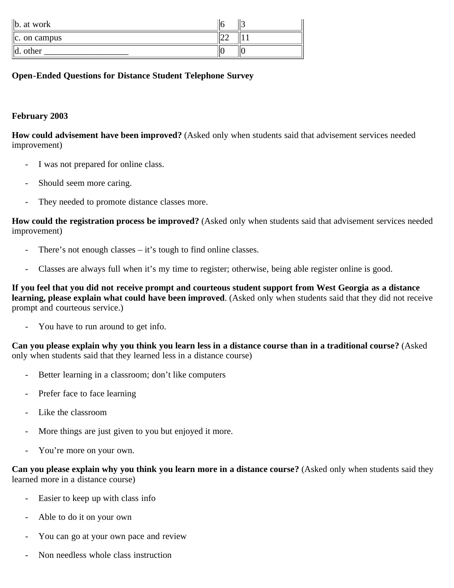| $\ $ b. at work           |     |  |
|---------------------------|-----|--|
| $\vert\vert$ c. on campus | ے ت |  |
| $\mathbb{I}$ d.<br>other  |     |  |

#### **Open-Ended Questions for Distance Student Telephone Survey**

#### **February 2003**

**How could advisement have been improved?** (Asked only when students said that advisement services needed improvement)

- I was not prepared for online class.
- Should seem more caring.
- They needed to promote distance classes more.

**How could the registration process be improved?** (Asked only when students said that advisement services needed improvement)

- There's not enough classes  $-$  it's tough to find online classes.
- Classes are always full when it's my time to register; otherwise, being able register online is good.

**If you feel that you did not receive prompt and courteous student support from West Georgia as a distance learning, please explain what could have been improved**. (Asked only when students said that they did not receive prompt and courteous service.)

You have to run around to get info.

**Can you please explain why you think you learn less in a distance course than in a traditional course?** (Asked only when students said that they learned less in a distance course)

- Better learning in a classroom; don't like computers
- Prefer face to face learning
- Like the classroom
- More things are just given to you but enjoyed it more.
- You're more on your own.

**Can you please explain why you think you learn more in a distance course?** (Asked only when students said they learned more in a distance course)

- Easier to keep up with class info
- Able to do it on your own
- You can go at your own pace and review
- Non needless whole class instruction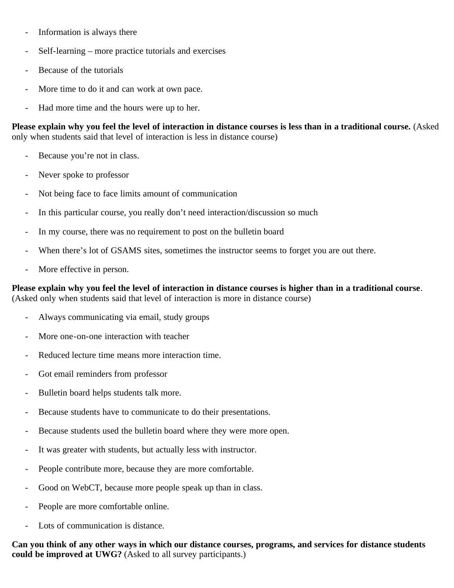- Information is always there
- Self-learning more practice tutorials and exercises
- Because of the tutorials
- More time to do it and can work at own pace.
- Had more time and the hours were up to her.

**Please explain why you feel the level of interaction in distance courses is less than in a traditional course.** (Asked only when students said that level of interaction is less in distance course)

- Because you're not in class.
- Never spoke to professor
- Not being face to face limits amount of communication
- In this particular course, you really don't need interaction/discussion so much
- In my course, there was no requirement to post on the bulletin board
- When there's lot of GSAMS sites, sometimes the instructor seems to forget you are out there.
- More effective in person.

#### **Please explain why you feel the level of interaction in distance courses is higher than in a traditional course**. (Asked only when students said that level of interaction is more in distance course)

- Always communicating via email, study groups
- More one-on-one interaction with teacher
- Reduced lecture time means more interaction time.
- Got email reminders from professor
- Bulletin board helps students talk more.
- Because students have to communicate to do their presentations.
- Because students used the bulletin board where they were more open.
- It was greater with students, but actually less with instructor.
- People contribute more, because they are more comfortable.
- Good on WebCT, because more people speak up than in class.
- People are more comfortable online.
- Lots of communication is distance.

**Can you think of any other ways in which our distance courses, programs, and services for distance students could be improved at UWG?** (Asked to all survey participants.)